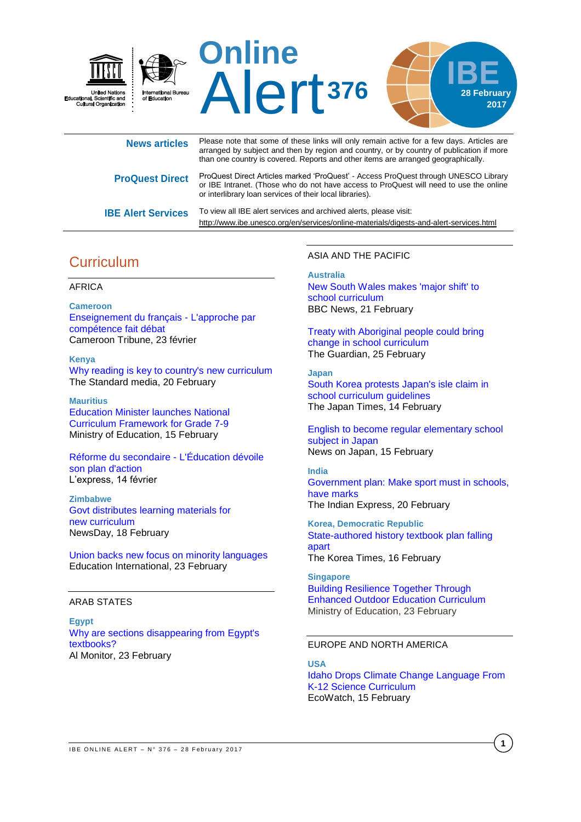

| <b>News articles</b>      | Please note that some of these links will only remain active for a few days. Articles are<br>arranged by subject and then by region and country, or by country of publication if more<br>than one country is covered. Reports and other items are arranged geographically. |
|---------------------------|----------------------------------------------------------------------------------------------------------------------------------------------------------------------------------------------------------------------------------------------------------------------------|
| <b>ProQuest Direct</b>    | ProQuest Direct Articles marked 'ProQuest' - Access ProQuest through UNESCO Library<br>or IBE Intranet. (Those who do not have access to ProQuest will need to use the online<br>or interlibrary loan services of their local libraries).                                  |
| <b>IBE Alert Services</b> | To view all IBE alert services and archived alerts, please visit:<br>http://www.ibe.unesco.org/en/services/online-materials/digests-and-alert-services.html                                                                                                                |

# **Curriculum**

## AFRICA

**Cameroon** [Enseignement du français -](http://fr.allafrica.com/stories/201702240330.html) L'approche par [compétence fait débat](http://fr.allafrica.com/stories/201702240330.html) Cameroon Tribune, 23 février

**Kenya**  [Why reading is key to country's new](https://www.standardmedia.co.ke/ureport/story/2001230092/why-reading-is-key-to-country-s-new-curriculum) curriculum The Standard media, 20 February

**Mauritius**  [Education Minister launches National](http://www.govmu.org/English/News/Pages/Education-Minister-launches-National-Curriculum-Framework-for-Grade-7-9-.aspx)  [Curriculum Framework for Grade 7-9](http://www.govmu.org/English/News/Pages/Education-Minister-launches-National-Curriculum-Framework-for-Grade-7-9-.aspx) Ministry of Education, 15 February

[Réforme du secondaire -](http://fr.allafrica.com/stories/201702150172.html) L'Éducation dévoile [son plan d'action](http://fr.allafrica.com/stories/201702150172.html) L'express, 14 février

**Zimbabwe** [Govt distributes learning materials for](https://www.newsday.co.zw/2017/02/18/govt-distributes-learning-materials-new-curriculum/)  new [curriculum](https://www.newsday.co.zw/2017/02/18/govt-distributes-learning-materials-new-curriculum/) NewsDay, 18 February

[Union backs new focus on minority languages](https://www.ei-ie.org/en/news/news_details/4290) Education International, 23 February

## ARAB STATES

**Egypt** [Why are sections disappearing from Egypt's](http://www.al-monitor.com/pulse/originals/2017/02/egypt-remove-tiran-sanafir-islands-textbooks-saudi-agreement.html)  [textbooks?](http://www.al-monitor.com/pulse/originals/2017/02/egypt-remove-tiran-sanafir-islands-textbooks-saudi-agreement.html) Al Monitor, 23 February

## ASIA AND THE PACIFIC

**Australia**

[New South Wales makes 'major shift' to](http://www.bbc.com/news/world-australia-39023901)  school [curriculum](http://www.bbc.com/news/world-australia-39023901) BBC News, 21 February

[Treaty with Aboriginal people could bring](https://www.theguardian.com/australia-news/2017/feb/25/treaty-with-aboriginal-people-could-bring-change-in-school-curriculum)  [change in school curriculum](https://www.theguardian.com/australia-news/2017/feb/25/treaty-with-aboriginal-people-could-bring-change-in-school-curriculum) The Guardian, 25 February

**Japan** [South Korea protests Japan's isle claim in](http://www.japantimes.co.jp/news/2017/02/14/national/south-korea-protests-japans-isle-claim-school-curriculum-guidelines/#.WLLLGhh7SRY)  school [curriculum](http://www.japantimes.co.jp/news/2017/02/14/national/south-korea-protests-japans-isle-claim-school-curriculum-guidelines/#.WLLLGhh7SRY) guidelines The Japan Times, 14 February

[English to become regular elementary school](http://newsonjapan.com/html/newsdesk/article/119042.php)  [subject in Japan](http://newsonjapan.com/html/newsdesk/article/119042.php)  News on Japan, 15 February

**India** [Government plan: Make sport must in schools,](http://indianexpress.com/article/sports/sport-others/government-plan-make-sport-must-in-schools-have-marks-4533690/)  have [marks](http://indianexpress.com/article/sports/sport-others/government-plan-make-sport-must-in-schools-have-marks-4533690/) The Indian Express, 20 February

**Korea, Democratic Republic** [State-authored history textbook plan falling](http://www.koreatimes.co.kr/www/nation/2017/02/181_224077.html)  [apart](http://www.koreatimes.co.kr/www/nation/2017/02/181_224077.html)

The Korea Times, 16 February

**Singapore** [Building Resilience Together Through](https://www.moe.gov.sg/news/press-releases/building-resilience-together-through-enhanced-outdoor-education-curriculum)  [Enhanced Outdoor Education Curriculum](https://www.moe.gov.sg/news/press-releases/building-resilience-together-through-enhanced-outdoor-education-curriculum) Ministry of Education, 23 February

#### EUROPE AND NORTH AMERICA

**USA**  [Idaho Drops Climate Change Language From](https://www.google.com/url?rct=j&sa=t&url=http://www.ecowatch.com/idaho-climate-change-curriculum-2263027505.html&ct=ga&cd=CAEYAioUMTM2Nzc0Mjc0NzQ5ODM0MDY2MTMyGTFiZTUwNmE0MGQzN2NjZDQ6Y2g6ZW46Q0g&usg=AFQjCNGMGROtjpo-pnCFmT-iDxU7XJPe6w)  [K-12 Science](https://www.google.com/url?rct=j&sa=t&url=http://www.ecowatch.com/idaho-climate-change-curriculum-2263027505.html&ct=ga&cd=CAEYAioUMTM2Nzc0Mjc0NzQ5ODM0MDY2MTMyGTFiZTUwNmE0MGQzN2NjZDQ6Y2g6ZW46Q0g&usg=AFQjCNGMGROtjpo-pnCFmT-iDxU7XJPe6w) Curriculum EcoWatch, 15 February

**1**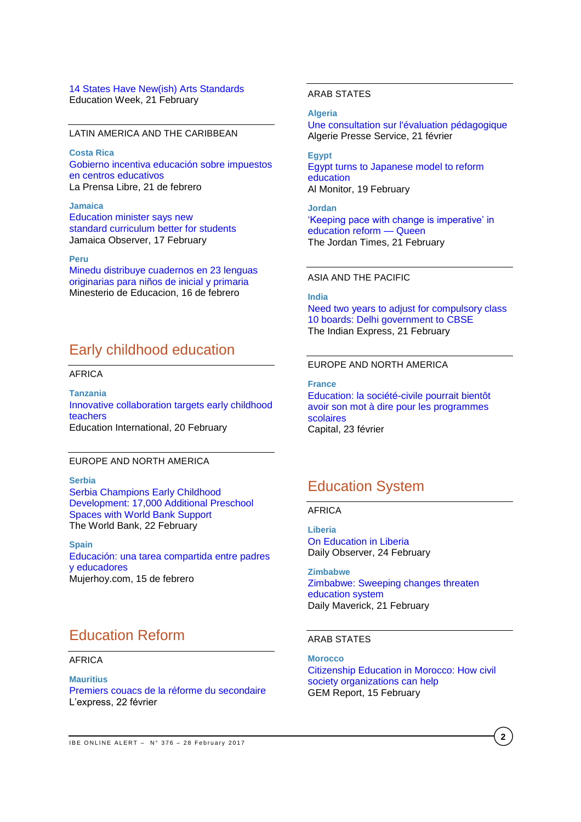#### [14 States Have New\(ish\) Arts Standards](http://blogs.edweek.org/edweek/curriculum/2017/02/arts_standards_report.html) Education Week, 21 February

#### LATIN AMERICA AND THE CARIBBEAN

**Costa Rica**  [Gobierno incentiva](https://www.laprensalibre.cr/Noticias/detalle/103635/gobierno-incentiva-educacion-sobre-impuestos-en-centros-educativos) educación sobre impuestos [en centros educativos](https://www.laprensalibre.cr/Noticias/detalle/103635/gobierno-incentiva-educacion-sobre-impuestos-en-centros-educativos) La Prensa Libre, 21 de febrero

**Jamaica** [Education minister says new](http://www.jamaicaobserver.com/news/Education-minister-says-new-standard-curriculum-better-for-students)  standard curriculum [better for students](http://www.jamaicaobserver.com/news/Education-minister-says-new-standard-curriculum-better-for-students) Jamaica Observer, 17 February

#### **Peru**

[Minedu distribuye cuadernos en 23 lenguas](http://www.minedu.gob.pe/n/noticia.php?id=41836)  [originarias para niños de inicial y primaria](http://www.minedu.gob.pe/n/noticia.php?id=41836) Minesterio de Educacion, 16 de febrero

## Early childhood education

## AFRICA

**Tanzania** [Innovative collaboration targets early childhood](https://www.ei-ie.org/en/news/news_details/4286)  [teachers](https://www.ei-ie.org/en/news/news_details/4286) Education International, 20 February

### EUROPE AND NORTH AMERICA

**Serbia** [Serbia Champions Early Childhood](http://www.worldbank.org/en/news/press-release/2017/02/21/serbia-champions-early-childhood-development-17000-additional-preschool-spaces-with-world-bank-support)  [Development: 17,000 Additional Preschool](http://www.worldbank.org/en/news/press-release/2017/02/21/serbia-champions-early-childhood-development-17000-additional-preschool-spaces-with-world-bank-support)  [Spaces with World Bank Support](http://www.worldbank.org/en/news/press-release/2017/02/21/serbia-champions-early-childhood-development-17000-additional-preschool-spaces-with-world-bank-support) The World Bank, 22 February

**Spain** [Educación: una tarea compartida entre padres](http://www.mujerhoy.com/vivir/madres/201702/15/educacion-tarea-compartida-entre-20170215094411.html)  [y educadores](http://www.mujerhoy.com/vivir/madres/201702/15/educacion-tarea-compartida-entre-20170215094411.html) Mujerhoy.com, 15 de febrero

# Education Reform

#### AFRICA

**Mauritius** [Premiers couacs de la réforme du secondaire](http://fr.allafrica.com/stories/201702230159.html) L'express, 22 février

## ARAB STATES

**Algeria**

[Une consultation sur l'évaluation pédagogique](http://fr.allafrica.com/stories/201702220171.html) Algerie Presse Service, 21 février

**Egypt** [Egypt turns to Japanese model to reform](http://www.al-monitor.com/pulse/originals/2017/02/egypt-japanese-model-education-reform.html)  [education](http://www.al-monitor.com/pulse/originals/2017/02/egypt-japanese-model-education-reform.html) Al Monitor, 19 February

**Jordan** ['Keeping pace with change is imperative' in](http://www.jordantimes.com/news/local/keeping-pace-change-imperative’-education-reform-—-queen)  [education reform —](http://www.jordantimes.com/news/local/keeping-pace-change-imperative’-education-reform-—-queen) Queen The Jordan Times, 21 February

## ASIA AND THE PACIFIC

**India** [Need two years to adjust for compulsory class](http://indianexpress.com/article/education/cbse-nic-in-studnets-need-two-years-to-adjust-for-compulsory-class-10-boards-examinations-delhi-government-to-cbse-4536682/)  [10 boards: Delhi government to](http://indianexpress.com/article/education/cbse-nic-in-studnets-need-two-years-to-adjust-for-compulsory-class-10-boards-examinations-delhi-government-to-cbse-4536682/) CBSE The Indian Express, 21 February

## EUROPE AND NORTH AMERICA

**France** [Education: la société-civile pourrait bientôt](http://www.capital.fr/carriere-management/actualites/education-la-societe-civile-pourrait-bientot-avoir-son-mot-a-dire-pour-les-programmes-scolaires-1209379)  [avoir son mot à dire pour les programmes](http://www.capital.fr/carriere-management/actualites/education-la-societe-civile-pourrait-bientot-avoir-son-mot-a-dire-pour-les-programmes-scolaires-1209379)  [scolaires](http://www.capital.fr/carriere-management/actualites/education-la-societe-civile-pourrait-bientot-avoir-son-mot-a-dire-pour-les-programmes-scolaires-1209379) Capital, 23 février

## Education System

### AFRICA

**Liberia** [On Education in Liberia](http://allafrica.com/stories/201702240662.html) Daily Observer, 24 February

**Zimbabwe** [Zimbabwe: Sweeping changes threaten](https://www.dailymaverick.co.za/article/2017-02-21-zimbabwe-sweeping-changes-threaten-education-system/#.WK8K6VUrJO8)  [education system](https://www.dailymaverick.co.za/article/2017-02-21-zimbabwe-sweeping-changes-threaten-education-system/#.WK8K6VUrJO8) Daily Maverick, 21 February

## ARAB STATES

**Morocco** [Citizenship Education in Morocco: How civil](https://gemreportunesco.wordpress.com/2017/02/15/citizenship-education-in-morocco-how-civil-society-organizations-can-help/)  [society organizations can](https://gemreportunesco.wordpress.com/2017/02/15/citizenship-education-in-morocco-how-civil-society-organizations-can-help/) help GEM Report, 15 February

**2**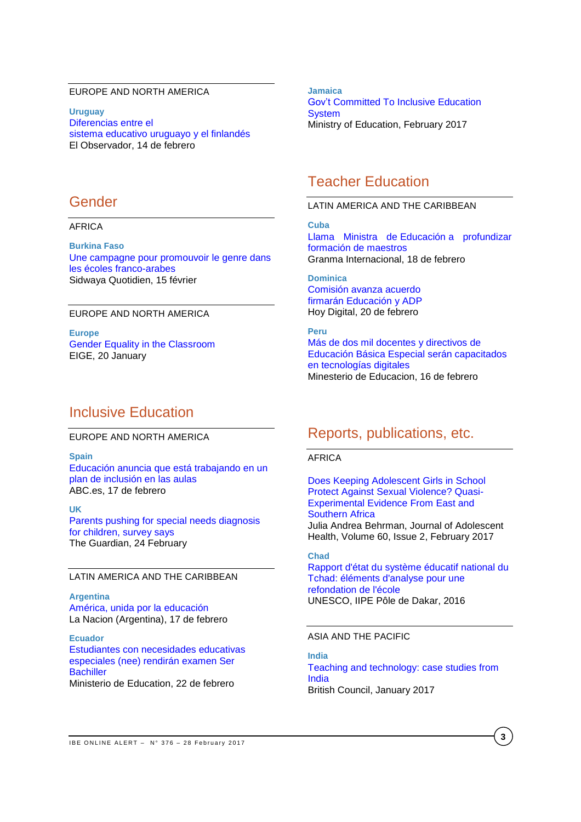## EUROPE AND NORTH AMERICA

**Uruguay** [Diferencias entre el](http://www.elobservador.com.uy/diferencias-el-sistema-educativo-uruguayo-y-el-finlandes-n1031603)  sistema educativo [uruguayo y el finlandés](http://www.elobservador.com.uy/diferencias-el-sistema-educativo-uruguayo-y-el-finlandes-n1031603) El Observador, 14 de febrero

## Gender

## AFRICA

**Burkina Faso** [Une campagne pour promouvoir le genre dans](http://fr.allafrica.com/stories/201702160402.html)  [les écoles franco-arabes](http://fr.allafrica.com/stories/201702160402.html)  Sidwaya Quotidien, 15 février

### EUROPE AND NORTH AMERICA

**Europe** [Gender Equality in the Classroom](http://eige.europa.eu/news-and-events/news/eige-takes-depth-look-gender-equality-classroom) EIGE, 20 January

## Inclusive Education

## EUROPE AND NORTH AMERICA

**Spain**

[Educación anuncia que está trabajando en un](http://www.abc.es/sociedad/abci-educacion-anuncia-esta-trabajando-plan-inclusion-aulas-201702171551_noticia.html)  [plan de inclusión en las aulas](http://www.abc.es/sociedad/abci-educacion-anuncia-esta-trabajando-plan-inclusion-aulas-201702171551_noticia.html) ABC.es, 17 de febrero

#### **UK**

[Parents pushing for special needs diagnosis](https://www.theguardian.com/education/2017/feb/24/parents-pushing-for-special-needs-diagnosis-for-children-survey-says)  [for children, survey says](https://www.theguardian.com/education/2017/feb/24/parents-pushing-for-special-needs-diagnosis-for-children-survey-says) The Guardian, 24 February

## LATIN AMERICA AND THE CARIBBEAN

**Argentina** [América, unida por la](http://www.lanacion.com.ar/1985352-america-unida-por-la-educacion) educación La Nacion (Argentina), 17 de febrero

**Ecuador** [Estudiantes con necesidades educativas](https://educacion.gob.ec/estudiantes-con-necesidades-educativas-especiales-nee-rendiran-examen-ser-bachiller/)  [especiales \(nee\) rendirán examen Ser](https://educacion.gob.ec/estudiantes-con-necesidades-educativas-especiales-nee-rendiran-examen-ser-bachiller/)  **[Bachiller](https://educacion.gob.ec/estudiantes-con-necesidades-educativas-especiales-nee-rendiran-examen-ser-bachiller/)** Ministerio de Education, 22 de febrero

 **2017** [Gov't Committed To Inclusive Education](http://www.moe.gov.jm/gov%E2%80%99t-committed-inclusive-education-system)  **Jamaica [System](http://www.moe.gov.jm/gov%E2%80%99t-committed-inclusive-education-system)** Ministry of Education, February 2017

## Teacher Education

#### LATIN AMERICA AND THE CARIBBEAN

**Cuba** [Llama Ministra de](http://www.granma.cu/cuba/2017-02-18/llama-ministra-de-educacion-a-profundizar-formacion-de-maestros-18-02-2017-12-02-56) Educación a profundizar [formación de maestros](http://www.granma.cu/cuba/2017-02-18/llama-ministra-de-educacion-a-profundizar-formacion-de-maestros-18-02-2017-12-02-56) Granma Internacional, 18 de febrero

**Dominica**  [Comisión avanza acuerdo](http://hoy.com.do/comision-avanza-acuerdo-firmaran-educacion-y-adp/)  firmarán [Educación](http://hoy.com.do/comision-avanza-acuerdo-firmaran-educacion-y-adp/) y ADP Hoy Digital, 20 de febrero

**Peru** [Más de dos mil docentes y directivos de](http://www.minedu.gob.pe/n/noticia.php?id=41844)  [Educación Básica Especial serán capacitados](http://www.minedu.gob.pe/n/noticia.php?id=41844)  [en tecnologías digitales](http://www.minedu.gob.pe/n/noticia.php?id=41844) Minesterio de Educacion, 16 de febrero

# Reports, publications, etc.

## AFRICA

[Does Keeping Adolescent Girls in School](http://www.jahonline.org/article/S1054-139X(16)30354-8/fulltext)  [Protect Against Sexual Violence? Quasi-](http://www.jahonline.org/article/S1054-139X(16)30354-8/fulltext)[Experimental Evidence From East and](http://www.jahonline.org/article/S1054-139X(16)30354-8/fulltext)  [Southern Africa](http://www.jahonline.org/article/S1054-139X(16)30354-8/fulltext)

Julia Andrea Behrman, Journal of Adolescent Health, Volume 60, Issue 2, February 2017

#### **Chad**

[Rapport d'état du système éducatif national du](http://unesdoc.unesco.org/images/0024/002474/247447f.pdf)  [Tchad: éléments d'analyse pour une](http://unesdoc.unesco.org/images/0024/002474/247447f.pdf)  [refondation de l'école](http://unesdoc.unesco.org/images/0024/002474/247447f.pdf) UNESCO, IIPE Pôle de Dakar, 2016

## ASIA AND THE PACIFIC

**India** [Teaching and technology: case studies from](http://www.teachingenglish.org.uk/sites/teacheng/files/Teaching%20and%20technology%20case%20studies%20from%20India_FINAL_low_res_NEW.pdf)  [India](http://www.teachingenglish.org.uk/sites/teacheng/files/Teaching%20and%20technology%20case%20studies%20from%20India_FINAL_low_res_NEW.pdf) British Council, January 2017

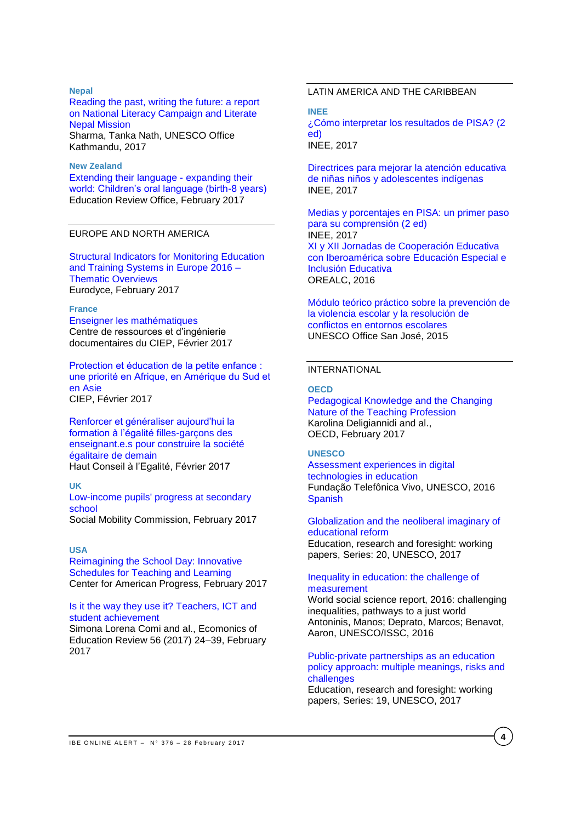#### **Nepal**

[Reading the past, writing the future: a report](http://unesdoc.unesco.org/images/0024/002473/247317e.pdf)  [on National Literacy Campaign and Literate](http://unesdoc.unesco.org/images/0024/002473/247317e.pdf)  [Nepal Mission](http://unesdoc.unesco.org/images/0024/002473/247317e.pdf) Sharma, Tanka Nath, UNESCO Office Kathmandu, 2017

#### **New Zealand**

[Extending their language -](http://www.ero.govt.nz/assets/Uploads/Extending-their-language-expanding-their-world2.pdf) expanding their [world: Children's oral language \(birth-8 years\)](http://www.ero.govt.nz/assets/Uploads/Extending-their-language-expanding-their-world2.pdf) Education Review Office, February 2017

### EUROPE AND NORTH AMERICA

[Structural Indicators for Monitoring Education](https://webgate.ec.europa.eu/fpfis/mwikis/eurydice/index.php/Publications:Structural_Indicators_for_Monitoring_Education_and_Training_Systems_in_Europe_2016_%E2%80%93_Thematic_Overviews)  [and Training Systems in Europe 2016 –](https://webgate.ec.europa.eu/fpfis/mwikis/eurydice/index.php/Publications:Structural_Indicators_for_Monitoring_Education_and_Training_Systems_in_Europe_2016_%E2%80%93_Thematic_Overviews) [Thematic Overviews](https://webgate.ec.europa.eu/fpfis/mwikis/eurydice/index.php/Publications:Structural_Indicators_for_Monitoring_Education_and_Training_Systems_in_Europe_2016_%E2%80%93_Thematic_Overviews) Eurodyce, February 2017

#### **France**

[Enseigner les mathématiques](http://www.lefildubilingue.org/ressources/enseigner-les-mathematiques-sitographie) Centre de ressources et d'ingénierie documentaires du CIEP, Février 2017

[Protection et éducation de la petite enfance :](http://www.ciep.fr/sites/default/files/atoms/files/focus-protection-education-petite-enfance-priorite-afrique-amerique-sud-asie.pdf) [une priorité en Afrique, en Amérique du Sud et](http://www.ciep.fr/sites/default/files/atoms/files/focus-protection-education-petite-enfance-priorite-afrique-amerique-sud-asie.pdf)  [en Asie](http://www.ciep.fr/sites/default/files/atoms/files/focus-protection-education-petite-enfance-priorite-afrique-amerique-sud-asie.pdf)  CIEP, Février 2017

[Renforcer et généraliser aujourd'hui la](http://www.haut-conseil-egalite.gouv.fr/IMG/pdf/hce_rapport_formation_a_l_egalite_2017_02_22_vf.pdf)  [formation à l'égalité](http://www.haut-conseil-egalite.gouv.fr/IMG/pdf/hce_rapport_formation_a_l_egalite_2017_02_22_vf.pdf) filles-garçons des [enseignant.e.s pour construire la société](http://www.haut-conseil-egalite.gouv.fr/IMG/pdf/hce_rapport_formation_a_l_egalite_2017_02_22_vf.pdf)  [égalitaire de demain](http://www.haut-conseil-egalite.gouv.fr/IMG/pdf/hce_rapport_formation_a_l_egalite_2017_02_22_vf.pdf) Haut Conseil à l'Egalité, Février 2017

**UK**

## [Low-income pupils' progress at secondary](https://www.gov.uk/government/uploads/system/uploads/attachment_data/file/594363/Progress_at_Secondary_School_report_final.pdf)  [school](https://www.gov.uk/government/uploads/system/uploads/attachment_data/file/594363/Progress_at_Secondary_School_report_final.pdf)

Social Mobility Commission, February 2017

### **USA**

[Reimagining the School Day: Innovative](https://www.americanprogress.org/issues/education/reports/2017/02/23/426723/reimagining-the-school-day/)  [Schedules for Teaching and Learning](https://www.americanprogress.org/issues/education/reports/2017/02/23/426723/reimagining-the-school-day/) Center for American Progress, February 2017

### [Is it the way they use it? Teachers, ICT and](http://ac.els-cdn.com/S0272775715302776/1-s2.0-S0272775715302776-main.pdf?_tid=7362ea60-f9d9-11e6-a632-00000aacb361&acdnat=1487862482_24d57920a9b69314f513c92f0f37ad4e)  [student achievement](http://ac.els-cdn.com/S0272775715302776/1-s2.0-S0272775715302776-main.pdf?_tid=7362ea60-f9d9-11e6-a632-00000aacb361&acdnat=1487862482_24d57920a9b69314f513c92f0f37ad4e)

Simona Lorena Comi and al., Ecomonics of Education Review 56 (2017) 24–39, February 2017

## LATIN AMERICA AND THE CARIBBEAN

**INEE**

[¿Cómo interpretar los resultados de PISA? \(2](http://publicaciones.inee.edu.mx/buscadorPub/P1/C/406/P1C406.pdf)  [ed\)](http://publicaciones.inee.edu.mx/buscadorPub/P1/C/406/P1C406.pdf) INEE, 2017

[Directrices para mejorar la atención educativa](http://publicaciones.inee.edu.mx/buscadorPub/P1/F/104/P1F104.pdf)  [de niñas niños y adolescentes indígenas](http://publicaciones.inee.edu.mx/buscadorPub/P1/F/104/P1F104.pdf) INEE, 2017

[Medias y porcentajes en PISA: un primer paso](http://publicaciones.inee.edu.mx/buscadorPub/P1/C/407/P1C407.pdf)  [para su comprensión \(2 ed\)](http://publicaciones.inee.edu.mx/buscadorPub/P1/C/407/P1C407.pdf) INEE, 2017 [XI y XII Jornadas de Cooperación Educativa](http://unesdoc.unesco.org/images/0024/002467/246790s.pdf)  [con Iberoamérica sobre Educación Especial e](http://unesdoc.unesco.org/images/0024/002467/246790s.pdf)  [Inclusión Educativa](http://unesdoc.unesco.org/images/0024/002467/246790s.pdf) OREALC, 2016

[Módulo teórico práctico sobre la prevención de](http://unesdoc.unesco.org/images/0024/002471/247141s.pdf)  [la violencia escolar y la resolución](http://unesdoc.unesco.org/images/0024/002471/247141s.pdf) de [conflictos en entornos escolares](http://unesdoc.unesco.org/images/0024/002471/247141s.pdf) UNESCO Office San José, 2015

### INTERNATIONAL

#### **OECD**

[Pedagogical](http://www.oecd-ilibrary.org/education/pedagogical-knowledge-and-the-changing-nature-of-the-teaching-profession_9789264270695-en) Knowledge and the Changing Nature of the Teaching [Profession](http://www.oecd-ilibrary.org/education/pedagogical-knowledge-and-the-changing-nature-of-the-teaching-profession_9789264270695-en) Karolina Deligiannidi and al., OECD, February 2017

## **UNESCO**

[Assessment experiences in digital](http://unesdoc.unesco.org/images/0024/002473/247330e.pdf)  [technologies in education](http://unesdoc.unesco.org/images/0024/002473/247330e.pdf) Fundação Telefônica Vivo, UNESCO, 2016 **[Spanish](http://unesdoc.unesco.org/images/0024/002473/247331s.pdf)** 

[Globalization and the neoliberal imaginary of](http://unesdoc.unesco.org/images/0024/002473/247328e.pdf)  [educational reform](http://unesdoc.unesco.org/images/0024/002473/247328e.pdf) Education, research and foresight: working

papers, Series: 20, UNESCO, 2017

## [Inequality in education: the challenge of](http://unesdoc.unesco.org/images/0024/002459/245937e.pdf)  [measurement](http://unesdoc.unesco.org/images/0024/002459/245937e.pdf)

World social science report, 2016: challenging inequalities, pathways to a just world Antoninis, Manos; Deprato, Marcos; Benavot, Aaron, UNESCO/ISSC, 2016

[Public-private partnerships as an education](http://unesdoc.unesco.org/images/0024/002473/247327e.pdf)  [policy approach: multiple meanings, risks and](http://unesdoc.unesco.org/images/0024/002473/247327e.pdf)  [challenges](http://unesdoc.unesco.org/images/0024/002473/247327e.pdf)

Education, research and foresight: working papers, Series: 19, UNESCO, 2017